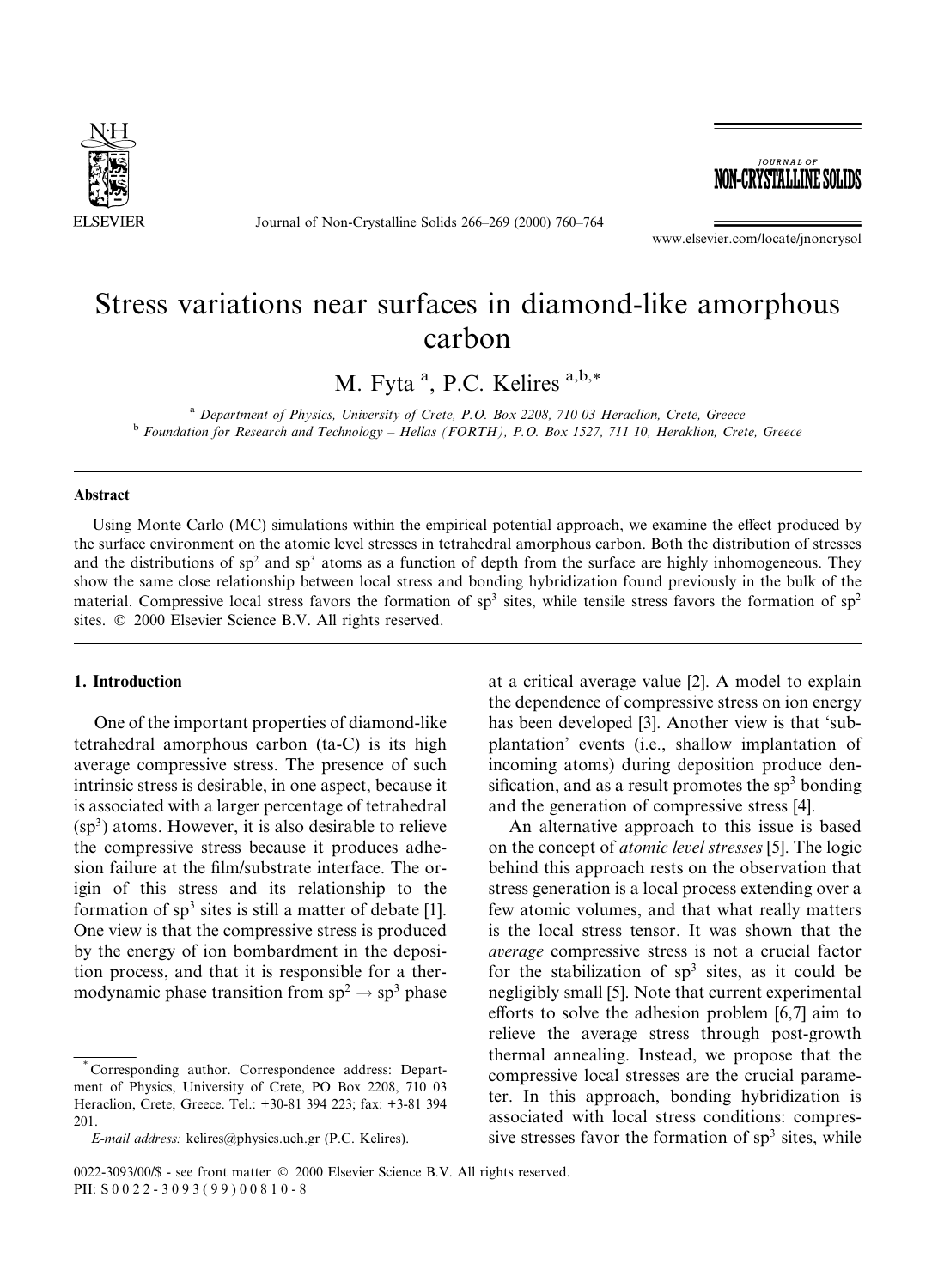

Journal of Non-Crystalline Solids 266-269 (2000) 760-764

**JOURNAL OF** NON-CRYSTALLINE SOLID!

www.elsevier.com/locate/jnoncrysol

# Stress variations near surfaces in diamond-like amorphous carbon

M. Fyta <sup>a</sup>, P.C. Kelires <sup>a,b,\*</sup>

<sup>a</sup> Department of Physics, University of Crete, P.O. Box 2208, 710 03 Heraclion, Crete, Greece b Foundation for Research and Technology - Hellas (FORTH), P.O. Box 1527, 711 10, Heraklion, Crete, Greece

## Abstract

Using Monte Carlo (MC) simulations within the empirical potential approach, we examine the effect produced by the surface environment on the atomic level stresses in tetrahedral amorphous carbon. Both the distribution of stresses and the distributions of  $sp^2$  and  $sp^3$  atoms as a function of depth from the surface are highly inhomogeneous. They show the same close relationship between local stress and bonding hybridization found previously in the bulk of the material. Compressive local stress favors the formation of  $sp^3$  sites, while tensile stress favors the formation of  $sp^2$ sites.  $© 2000 Elsevier Science B.V. All rights reserved.$ 

#### 1. Introduction

One of the important properties of diamond-like tetrahedral amorphous carbon (ta-C) is its high average compressive stress. The presence of such intrinsic stress is desirable, in one aspect, because it is associated with a larger percentage of tetrahedral  $(sp<sup>3</sup>)$  atoms. However, it is also desirable to relieve the compressive stress because it produces adhesion failure at the film/substrate interface. The origin of this stress and its relationship to the formation of  $sp<sup>3</sup>$  sites is still a matter of debate [1]. One view is that the compressive stress is produced by the energy of ion bombardment in the deposition process, and that it is responsible for a thermodynamic phase transition from  $sp^2 \rightarrow sp^3$  phase

at a critical average value [2]. A model to explain the dependence of compressive stress on ion energy has been developed [3]. Another view is that 'subplantation' events (i.e., shallow implantation of incoming atoms) during deposition produce densification, and as a result promotes the  $sp<sup>3</sup>$  bonding and the generation of compressive stress [4].

An alternative approach to this issue is based on the concept of atomic level stresses [5]. The logic behind this approach rests on the observation that stress generation is a local process extending over a few atomic volumes, and that what really matters is the local stress tensor. It was shown that the average compressive stress is not a crucial factor for the stabilization of  $sp<sup>3</sup>$  sites, as it could be negligibly small [5]. Note that current experimental efforts to solve the adhesion problem  $[6,7]$  aim to relieve the average stress through post-growth thermal annealing. Instead, we propose that the compressive local stresses are the crucial parameter. In this approach, bonding hybridization is associated with local stress conditions: compressive stresses favor the formation of  $sp<sup>3</sup>$  sites, while

<sup>\*</sup> Corresponding author. Correspondence address: Department of Physics, University of Crete, PO Box 2208, 710 03 Heraclion, Crete, Greece. Tel.: +30-81 394 223; fax: +3-81 394 201.

E-mail address: kelires@physics.uch.gr (P.C. Kelires).

<sup>0022-3093/00/\$ -</sup> see front matter © 2000 Elsevier Science B.V. All rights reserved. PII: S 0 0 2 2 - 3 0 9 3 (9 9 ) 0 0 8 1 0 - 8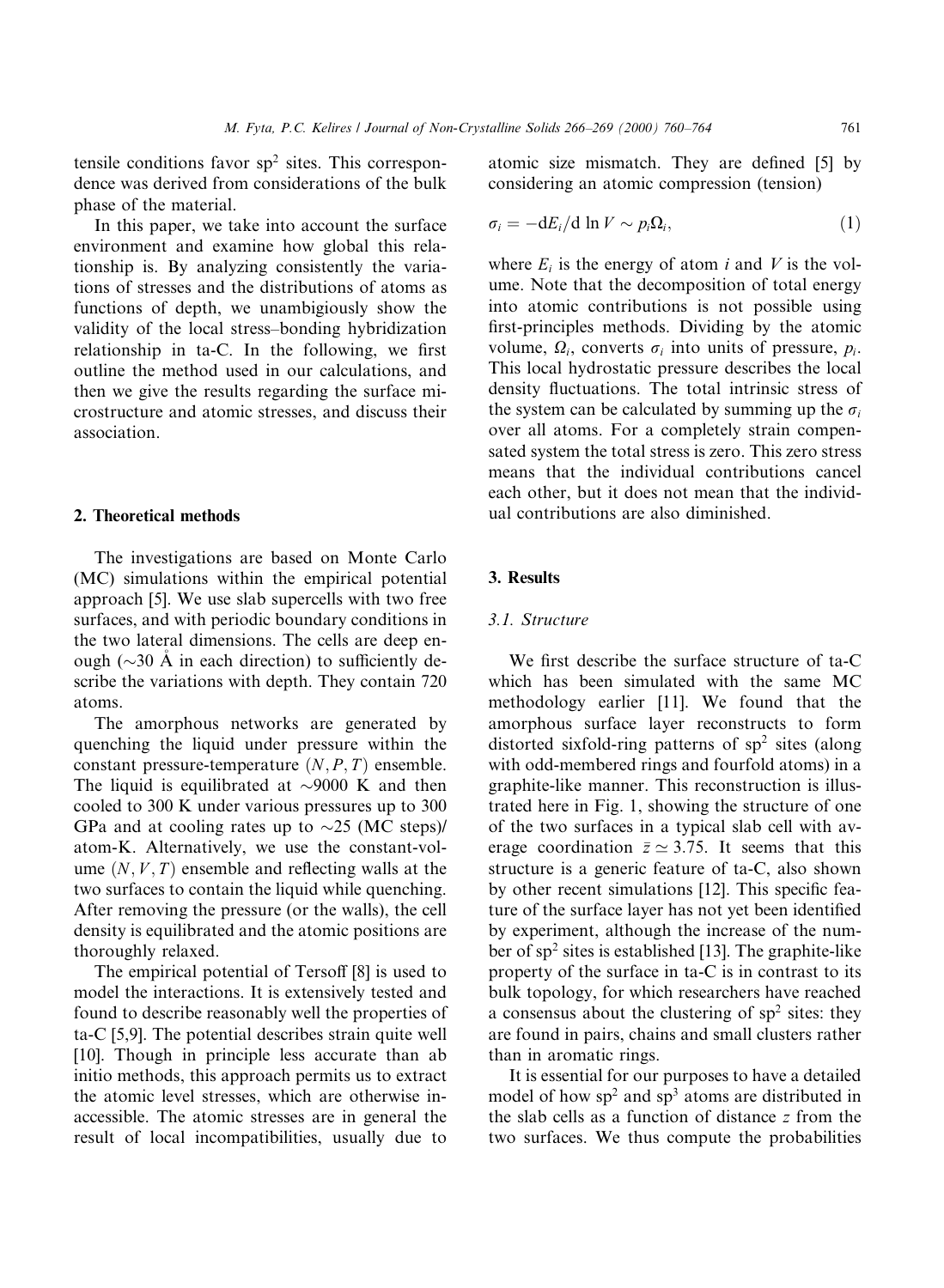tensile conditions favor  $sp<sup>2</sup>$  sites. This correspondence was derived from considerations of the bulk phase of the material.

In this paper, we take into account the surface environment and examine how global this relationship is. By analyzing consistently the variations of stresses and the distributions of atoms as functions of depth, we unambigiously show the validity of the local stress-bonding hybridization relationship in ta-C. In the following, we first outline the method used in our calculations, and then we give the results regarding the surface microstructure and atomic stresses, and discuss their association.

## 2. Theoretical methods

The investigations are based on Monte Carlo (MC) simulations within the empirical potential approach [5]. We use slab supercells with two free surfaces, and with periodic boundary conditions in the two lateral dimensions. The cells are deep enough ( $\sim$ 30 Å in each direction) to sufficiently describe the variations with depth. They contain 720 atoms.

The amorphous networks are generated by quenching the liquid under pressure within the constant pressure-temperature  $(N, P, T)$  ensemble. The liquid is equilibrated at  $\sim$ 9000 K and then cooled to 300 K under various pressures up to 300 GPa and at cooling rates up to  $\sim$ 25 (MC steps)/ atom-K. Alternatively, we use the constant-volume  $(N, V, T)$  ensemble and reflecting walls at the two surfaces to contain the liquid while quenching. After removing the pressure (or the walls), the cell density is equilibrated and the atomic positions are thoroughly relaxed.

The empirical potential of Tersoff [8] is used to model the interactions. It is extensively tested and found to describe reasonably well the properties of ta-C [5,9]. The potential describes strain quite well [10]. Though in principle less accurate than ab initio methods, this approach permits us to extract the atomic level stresses, which are otherwise inaccessible. The atomic stresses are in general the result of local incompatibilities, usually due to

atomic size mismatch. They are defined [5] by considering an atomic compression (tension)

$$
\sigma_i = -dE_i/d \ln V \sim p_i \Omega_i, \qquad (1)
$$

where  $E_i$  is the energy of atom i and V is the volume. Note that the decomposition of total energy into atomic contributions is not possible using first-principles methods. Dividing by the atomic volume,  $\Omega_i$ , converts  $\sigma_i$  into units of pressure,  $p_i$ . This local hydrostatic pressure describes the local density fluctuations. The total intrinsic stress of the system can be calculated by summing up the  $\sigma_i$ over all atoms. For a completely strain compensated system the total stress is zero. This zero stress means that the individual contributions cancel each other, but it does not mean that the individual contributions are also diminished.

## 3. Results

# 3.1. Structure

We first describe the surface structure of ta-C which has been simulated with the same MC methodology earlier [11]. We found that the amorphous surface layer reconstructs to form distorted sixfold-ring patterns of  $sp<sup>2</sup>$  sites (along with odd-membered rings and fourfold atoms) in a graphite-like manner. This reconstruction is illustrated here in Fig. 1, showing the structure of one of the two surfaces in a typical slab cell with average coordination  $\bar{z} \simeq 3.75$ . It seems that this structure is a generic feature of ta-C, also shown by other recent simulations [12]. This specific feature of the surface layer has not yet been identified by experiment, although the increase of the number of  $sp^2$  sites is established [13]. The graphite-like property of the surface in ta-C is in contrast to its bulk topology, for which researchers have reached a consensus about the clustering of  $sp<sup>2</sup>$  sites: they are found in pairs, chains and small clusters rather than in aromatic rings.

It is essential for our purposes to have a detailed model of how  $sp<sup>2</sup>$  and  $sp<sup>3</sup>$  atoms are distributed in the slab cells as a function of distance z from the two surfaces. We thus compute the probabilities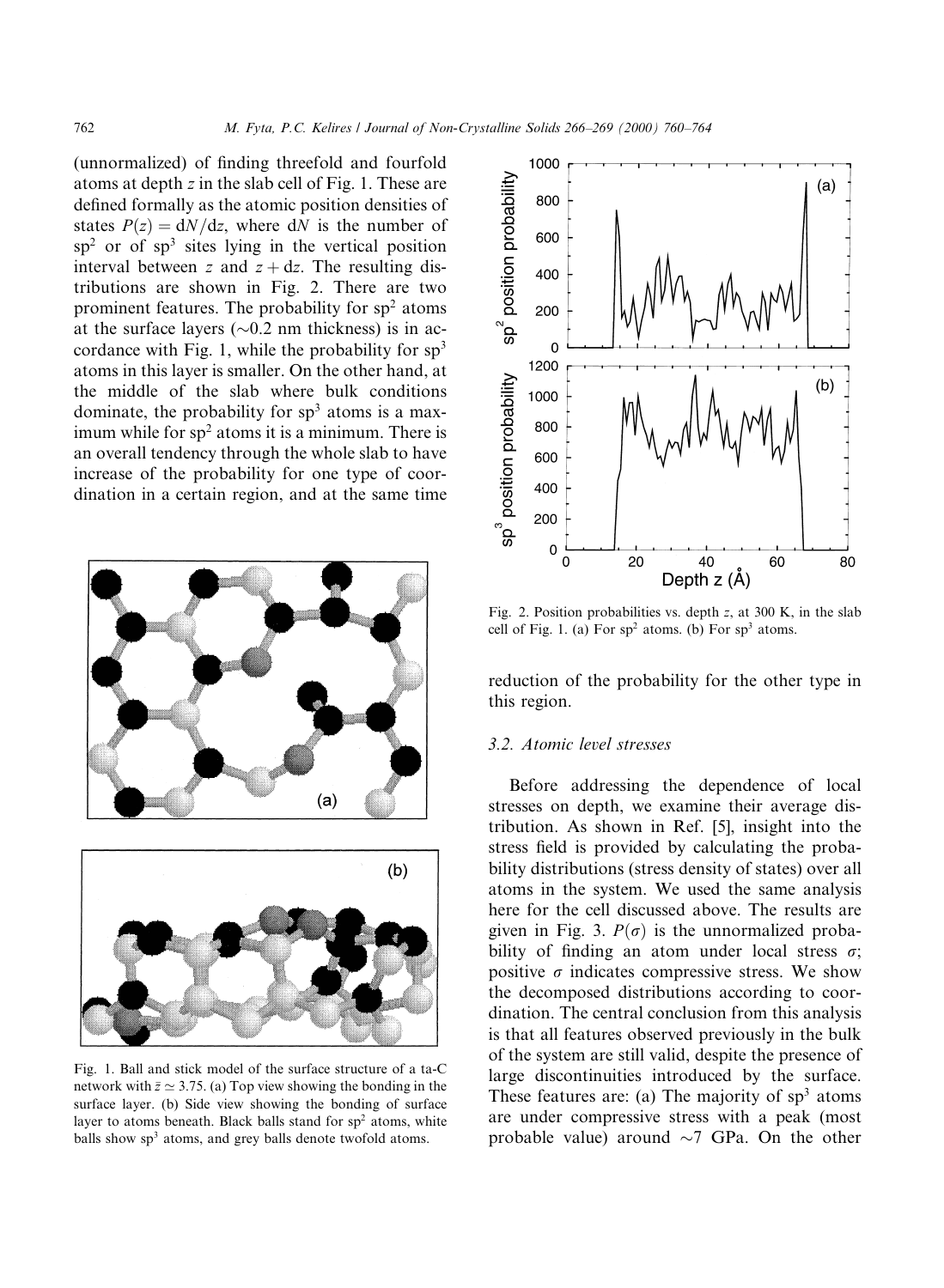(unnormalized) of finding threefold and fourfold atoms at depth z in the slab cell of Fig. 1. These are defined formally as the atomic position densities of states  $P(z) = dN/dz$ , where dN is the number of  $sp<sup>2</sup>$  or of  $sp<sup>3</sup>$  sites lying in the vertical position interval between z and  $z + dz$ . The resulting distributions are shown in Fig. 2. There are two prominent features. The probability for  $sp<sup>2</sup>$  atoms at the surface layers  $(\sim 0.2$  nm thickness) is in accordance with Fig. 1, while the probability for  $sp<sup>3</sup>$ atoms in this layer is smaller. On the other hand, at the middle of the slab where bulk conditions dominate, the probability for  $sp<sup>3</sup>$  atoms is a maximum while for  $sp<sup>2</sup>$  atoms it is a minimum. There is an overall tendency through the whole slab to have increase of the probability for one type of coordination in a certain region, and at the same time





Fig. 1. Ball and stick model of the surface structure of a ta-C network with  $\bar{z} \approx 3.75$ . (a) Top view showing the bonding in the surface layer. (b) Side view showing the bonding of surface layer to atoms beneath. Black balls stand for  $sp<sup>2</sup>$  atoms, white balls show sp<sup>3</sup> atoms, and grey balls denote twofold atoms.



Fig. 2. Position probabilities vs. depth  $z$ , at 300 K, in the slab cell of Fig. 1. (a) For  $sp^2$  atoms. (b) For  $sp^3$  atoms.

reduction of the probability for the other type in this region.

## 3.2. Atomic level stresses

Before addressing the dependence of local stresses on depth, we examine their average distribution. As shown in Ref. [5], insight into the stress field is provided by calculating the probability distributions (stress density of states) over all atoms in the system. We used the same analysis here for the cell discussed above. The results are given in Fig. 3.  $P(\sigma)$  is the unnormalized probability of finding an atom under local stress  $\sigma$ ; positive  $\sigma$  indicates compressive stress. We show the decomposed distributions according to coordination. The central conclusion from this analysis is that all features observed previously in the bulk of the system are still valid, despite the presence of large discontinuities introduced by the surface. These features are: (a) The majority of  $sp<sup>3</sup>$  atoms are under compressive stress with a peak (most probable value) around  $\sim$ 7 GPa. On the other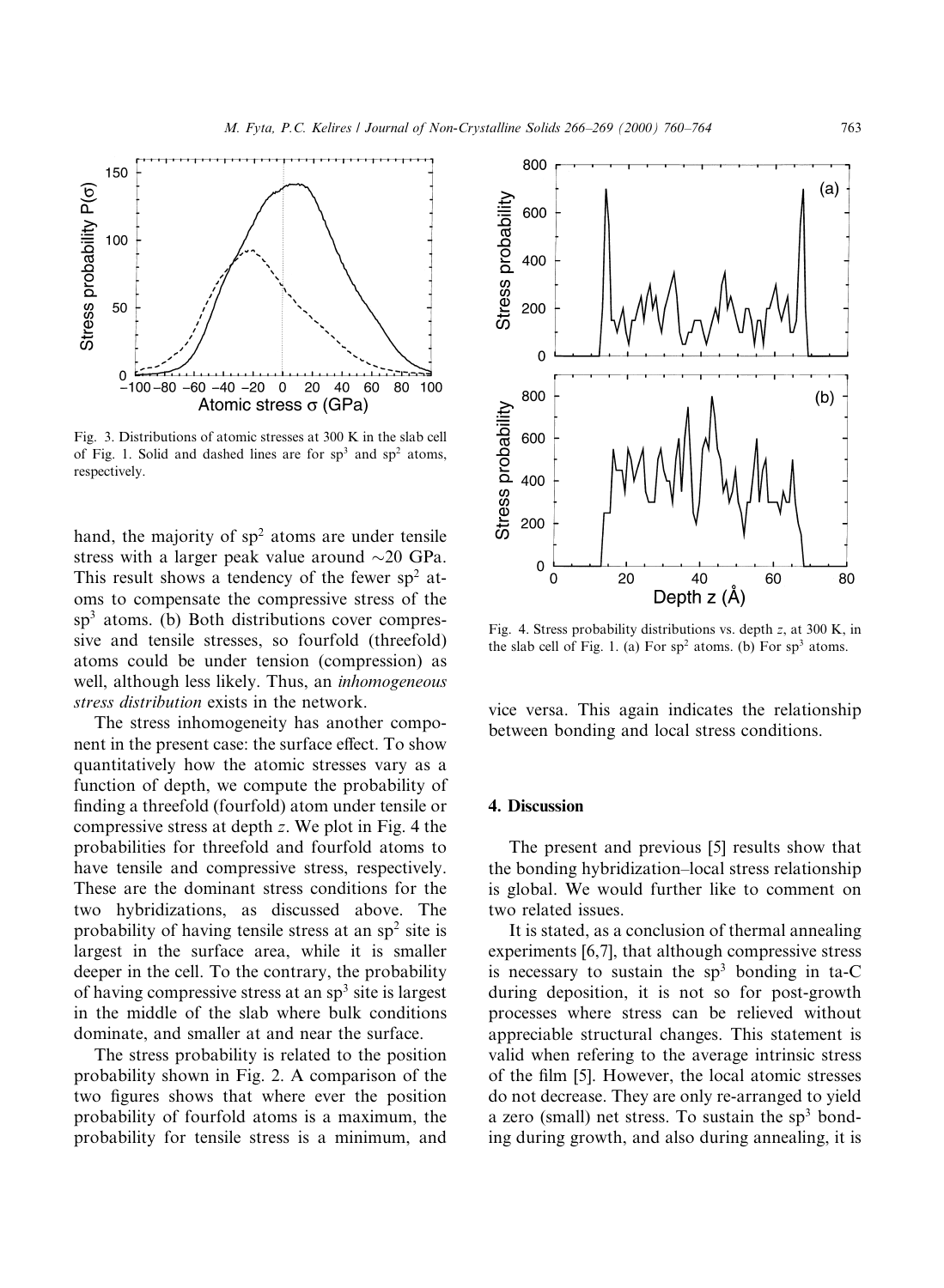

Fig. 3. Distributions of atomic stresses at 300 K in the slab cell of Fig. 1. Solid and dashed lines are for  $sp^3$  and  $sp^2$  atoms, respectively.

hand, the majority of  $sp<sup>2</sup>$  atoms are under tensile stress with a larger peak value around  $\sim$ 20 GPa. This result shows a tendency of the fewer  $sp<sup>2</sup>$  atoms to compensate the compressive stress of the  $sp<sup>3</sup>$  atoms. (b) Both distributions cover compressive and tensile stresses, so fourfold (threefold) atoms could be under tension (compression) as well, although less likely. Thus, an inhomogeneous stress distribution exists in the network.

The stress inhomogeneity has another component in the present case: the surface effect. To show quantitatively how the atomic stresses vary as a function of depth, we compute the probability of finding a threefold (fourfold) atom under tensile or compressive stress at depth z. We plot in Fig. 4 the probabilities for threefold and fourfold atoms to have tensile and compressive stress, respectively. These are the dominant stress conditions for the two hybridizations, as discussed above. The probability of having tensile stress at an  $sp<sup>2</sup>$  site is largest in the surface area, while it is smaller deeper in the cell. To the contrary, the probability of having compressive stress at an  $sp<sup>3</sup>$  site is largest in the middle of the slab where bulk conditions dominate, and smaller at and near the surface.

The stress probability is related to the position probability shown in Fig. 2. A comparison of the two figures shows that where ever the position probability of fourfold atoms is a maximum, the probability for tensile stress is a minimum, and



Fig. 4. Stress probability distributions vs. depth  $z$ , at 300 K, in the slab cell of Fig. 1. (a) For  $sp^2$  atoms. (b) For  $sp^3$  atoms.

vice versa. This again indicates the relationship between bonding and local stress conditions.

### 4. Discussion

The present and previous [5] results show that the bonding hybridization-local stress relationship is global. We would further like to comment on two related issues.

It is stated, as a conclusion of thermal annealing experiments [6,7], that although compressive stress is necessary to sustain the  $sp<sup>3</sup>$  bonding in ta-C during deposition, it is not so for post-growth processes where stress can be relieved without appreciable structural changes. This statement is valid when refering to the average intrinsic stress of the film [5]. However, the local atomic stresses do not decrease. They are only re-arranged to yield a zero (small) net stress. To sustain the  $sp<sup>3</sup>$  bonding during growth, and also during annealing, it is